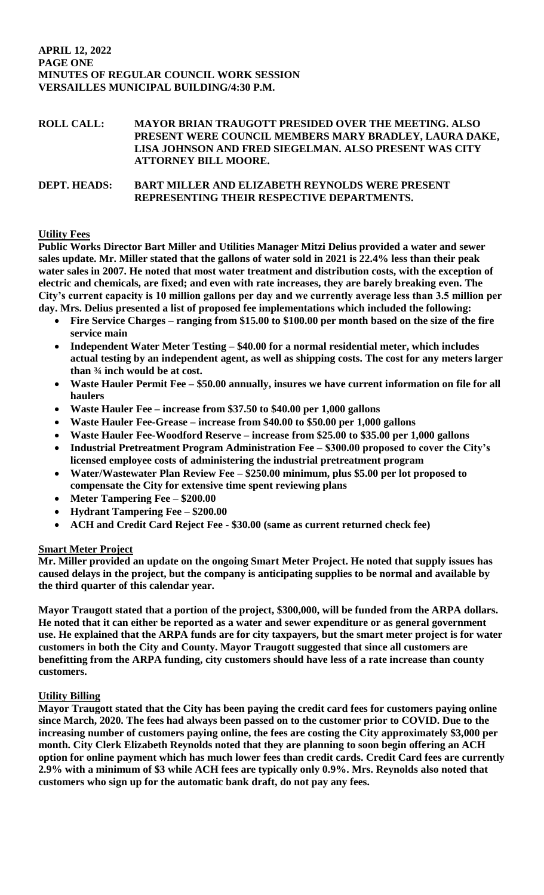# **ROLL CALL: MAYOR BRIAN TRAUGOTT PRESIDED OVER THE MEETING. ALSO PRESENT WERE COUNCIL MEMBERS MARY BRADLEY, LAURA DAKE, LISA JOHNSON AND FRED SIEGELMAN. ALSO PRESENT WAS CITY ATTORNEY BILL MOORE.**

# **DEPT. HEADS: BART MILLER AND ELIZABETH REYNOLDS WERE PRESENT REPRESENTING THEIR RESPECTIVE DEPARTMENTS.**

## **Utility Fees**

**Public Works Director Bart Miller and Utilities Manager Mitzi Delius provided a water and sewer sales update. Mr. Miller stated that the gallons of water sold in 2021 is 22.4% less than their peak water sales in 2007. He noted that most water treatment and distribution costs, with the exception of electric and chemicals, are fixed; and even with rate increases, they are barely breaking even. The City's current capacity is 10 million gallons per day and we currently average less than 3.5 million per day. Mrs. Delius presented a list of proposed fee implementations which included the following:**

- **Fire Service Charges – ranging from \$15.00 to \$100.00 per month based on the size of the fire service main**
- **Independent Water Meter Testing – \$40.00 for a normal residential meter, which includes actual testing by an independent agent, as well as shipping costs. The cost for any meters larger than ¾ inch would be at cost.**
- **Waste Hauler Permit Fee – \$50.00 annually, insures we have current information on file for all haulers**
- **Waste Hauler Fee – increase from \$37.50 to \$40.00 per 1,000 gallons**
- **Waste Hauler Fee-Grease – increase from \$40.00 to \$50.00 per 1,000 gallons**
- **Waste Hauler Fee-Woodford Reserve – increase from \$25.00 to \$35.00 per 1,000 gallons**
- **Industrial Pretreatment Program Administration Fee – \$300.00 proposed to cover the City's licensed employee costs of administering the industrial pretreatment program**
- **Water/Wastewater Plan Review Fee – \$250.00 minimum, plus \$5.00 per lot proposed to compensate the City for extensive time spent reviewing plans**
- **Meter Tampering Fee – \$200.00**
- **Hydrant Tampering Fee – \$200.00**
- **ACH and Credit Card Reject Fee - \$30.00 (same as current returned check fee)**

## **Smart Meter Project**

**Mr. Miller provided an update on the ongoing Smart Meter Project. He noted that supply issues has caused delays in the project, but the company is anticipating supplies to be normal and available by the third quarter of this calendar year.** 

**Mayor Traugott stated that a portion of the project, \$300,000, will be funded from the ARPA dollars. He noted that it can either be reported as a water and sewer expenditure or as general government use. He explained that the ARPA funds are for city taxpayers, but the smart meter project is for water customers in both the City and County. Mayor Traugott suggested that since all customers are benefitting from the ARPA funding, city customers should have less of a rate increase than county customers.**

## **Utility Billing**

**Mayor Traugott stated that the City has been paying the credit card fees for customers paying online since March, 2020. The fees had always been passed on to the customer prior to COVID. Due to the increasing number of customers paying online, the fees are costing the City approximately \$3,000 per month. City Clerk Elizabeth Reynolds noted that they are planning to soon begin offering an ACH option for online payment which has much lower fees than credit cards. Credit Card fees are currently 2.9% with a minimum of \$3 while ACH fees are typically only 0.9%. Mrs. Reynolds also noted that customers who sign up for the automatic bank draft, do not pay any fees.**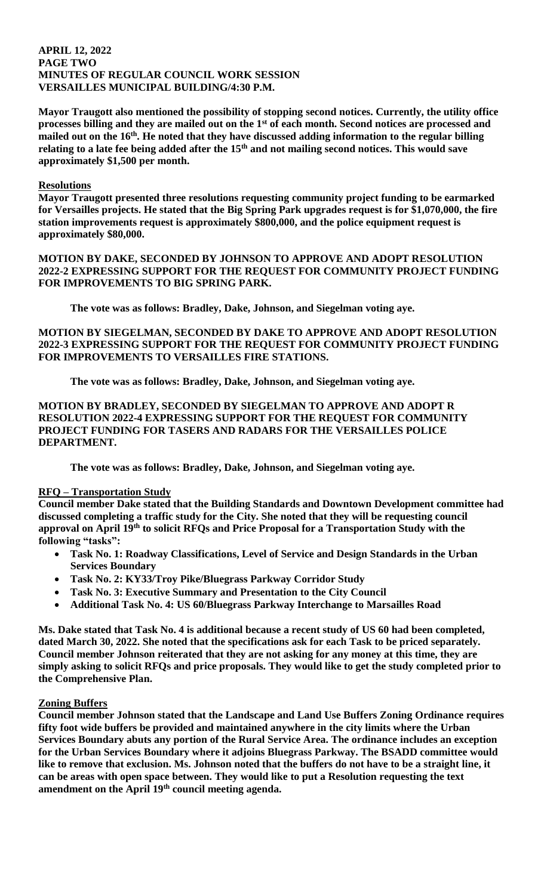### **APRIL 12, 2022 PAGE TWO MINUTES OF REGULAR COUNCIL WORK SESSION VERSAILLES MUNICIPAL BUILDING/4:30 P.M.**

**Mayor Traugott also mentioned the possibility of stopping second notices. Currently, the utility office processes billing and they are mailed out on the 1st of each month. Second notices are processed and mailed out on the 16th. He noted that they have discussed adding information to the regular billing relating to a late fee being added after the 15th and not mailing second notices. This would save approximately \$1,500 per month.** 

### **Resolutions**

**Mayor Traugott presented three resolutions requesting community project funding to be earmarked for Versailles projects. He stated that the Big Spring Park upgrades request is for \$1,070,000, the fire station improvements request is approximately \$800,000, and the police equipment request is approximately \$80,000.** 

**MOTION BY DAKE, SECONDED BY JOHNSON TO APPROVE AND ADOPT RESOLUTION 2022-2 EXPRESSING SUPPORT FOR THE REQUEST FOR COMMUNITY PROJECT FUNDING FOR IMPROVEMENTS TO BIG SPRING PARK.**

**The vote was as follows: Bradley, Dake, Johnson, and Siegelman voting aye.** 

**MOTION BY SIEGELMAN, SECONDED BY DAKE TO APPROVE AND ADOPT RESOLUTION 2022-3 EXPRESSING SUPPORT FOR THE REQUEST FOR COMMUNITY PROJECT FUNDING FOR IMPROVEMENTS TO VERSAILLES FIRE STATIONS.**

**The vote was as follows: Bradley, Dake, Johnson, and Siegelman voting aye.** 

**MOTION BY BRADLEY, SECONDED BY SIEGELMAN TO APPROVE AND ADOPT R RESOLUTION 2022-4 EXPRESSING SUPPORT FOR THE REQUEST FOR COMMUNITY PROJECT FUNDING FOR TASERS AND RADARS FOR THE VERSAILLES POLICE DEPARTMENT.**

**The vote was as follows: Bradley, Dake, Johnson, and Siegelman voting aye.** 

## **RFQ – Transportation Study**

**Council member Dake stated that the Building Standards and Downtown Development committee had discussed completing a traffic study for the City. She noted that they will be requesting council approval on April 19th to solicit RFQs and Price Proposal for a Transportation Study with the following "tasks":**

- **Task No. 1: Roadway Classifications, Level of Service and Design Standards in the Urban Services Boundary**
- **Task No. 2: KY33/Troy Pike/Bluegrass Parkway Corridor Study**
- **Task No. 3: Executive Summary and Presentation to the City Council**
- **Additional Task No. 4: US 60/Bluegrass Parkway Interchange to Marsailles Road**

**Ms. Dake stated that Task No. 4 is additional because a recent study of US 60 had been completed, dated March 30, 2022. She noted that the specifications ask for each Task to be priced separately. Council member Johnson reiterated that they are not asking for any money at this time, they are simply asking to solicit RFQs and price proposals. They would like to get the study completed prior to the Comprehensive Plan.** 

#### **Zoning Buffers**

**Council member Johnson stated that the Landscape and Land Use Buffers Zoning Ordinance requires fifty foot wide buffers be provided and maintained anywhere in the city limits where the Urban Services Boundary abuts any portion of the Rural Service Area. The ordinance includes an exception for the Urban Services Boundary where it adjoins Bluegrass Parkway. The BSADD committee would like to remove that exclusion. Ms. Johnson noted that the buffers do not have to be a straight line, it can be areas with open space between. They would like to put a Resolution requesting the text amendment on the April 19th council meeting agenda.**